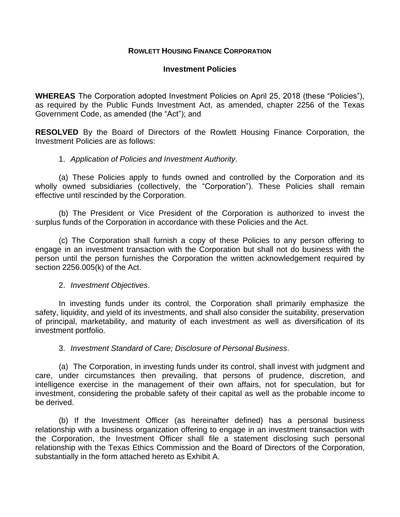#### **ROWLETT HOUSING FINANCE CORPORATION**

#### **Investment Policies**

**WHEREAS** The Corporation adopted Investment Policies on April 25, 2018 (these "Policies"), as required by the Public Funds Investment Act, as amended, chapter 2256 of the Texas Government Code, as amended (the "Act"); and

**RESOLVED** By the Board of Directors of the Rowlett Housing Finance Corporation, the Investment Policies are as follows:

# 1. *Application of Policies and Investment Authority*.

(a) These Policies apply to funds owned and controlled by the Corporation and its wholly owned subsidiaries (collectively, the "Corporation"). These Policies shall remain effective until rescinded by the Corporation.

(b) The President or Vice President of the Corporation is authorized to invest the surplus funds of the Corporation in accordance with these Policies and the Act.

(c) The Corporation shall furnish a copy of these Policies to any person offering to engage in an investment transaction with the Corporation but shall not do business with the person until the person furnishes the Corporation the written acknowledgement required by section 2256.005(k) of the Act.

#### 2. *Investment Objectives*.

In investing funds under its control, the Corporation shall primarily emphasize the safety, liquidity, and yield of its investments, and shall also consider the suitability, preservation of principal, marketability, and maturity of each investment as well as diversification of its investment portfolio.

3. *Investment Standard of Care; Disclosure of Personal Business*.

(a) The Corporation, in investing funds under its control, shall invest with judgment and care, under circumstances then prevailing, that persons of prudence, discretion, and intelligence exercise in the management of their own affairs, not for speculation, but for investment, considering the probable safety of their capital as well as the probable income to be derived.

(b) If the Investment Officer (as hereinafter defined) has a personal business relationship with a business organization offering to engage in an investment transaction with the Corporation, the Investment Officer shall file a statement disclosing such personal relationship with the Texas Ethics Commission and the Board of Directors of the Corporation, substantially in the form attached hereto as Exhibit A.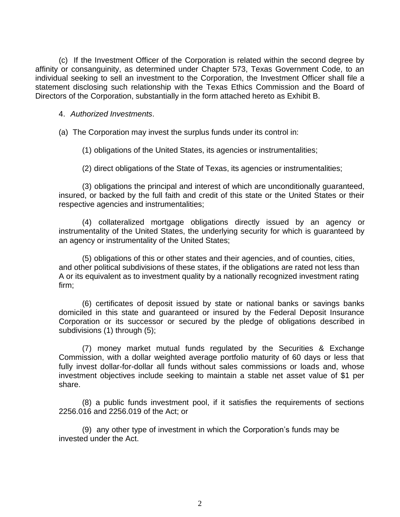(c) If the Investment Officer of the Corporation is related within the second degree by affinity or consanguinity, as determined under Chapter 573, Texas Government Code, to an individual seeking to sell an investment to the Corporation, the Investment Officer shall file a statement disclosing such relationship with the Texas Ethics Commission and the Board of Directors of the Corporation, substantially in the form attached hereto as Exhibit B.

#### 4. *Authorized Investments*.

(a) The Corporation may invest the surplus funds under its control in:

(1) obligations of the United States, its agencies or instrumentalities;

(2) direct obligations of the State of Texas, its agencies or instrumentalities;

(3) obligations the principal and interest of which are unconditionally guaranteed, insured, or backed by the full faith and credit of this state or the United States or their respective agencies and instrumentalities;

(4) collateralized mortgage obligations directly issued by an agency or instrumentality of the United States, the underlying security for which is guaranteed by an agency or instrumentality of the United States;

(5) obligations of this or other states and their agencies, and of counties, cities, and other political subdivisions of these states, if the obligations are rated not less than A or its equivalent as to investment quality by a nationally recognized investment rating firm;

(6) certificates of deposit issued by state or national banks or savings banks domiciled in this state and guaranteed or insured by the Federal Deposit Insurance Corporation or its successor or secured by the pledge of obligations described in subdivisions (1) through (5);

(7) money market mutual funds regulated by the Securities & Exchange Commission, with a dollar weighted average portfolio maturity of 60 days or less that fully invest dollar-for-dollar all funds without sales commissions or loads and, whose investment objectives include seeking to maintain a stable net asset value of \$1 per share.

(8) a public funds investment pool, if it satisfies the requirements of sections 2256.016 and 2256.019 of the Act; or

(9) any other type of investment in which the Corporation's funds may be invested under the Act.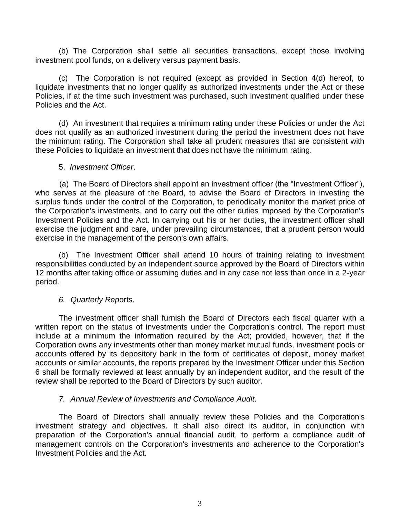(b) The Corporation shall settle all securities transactions, except those involving investment pool funds, on a delivery versus payment basis.

(c) The Corporation is not required (except as provided in Section 4(d) hereof, to liquidate investments that no longer qualify as authorized investments under the Act or these Policies, if at the time such investment was purchased, such investment qualified under these Policies and the Act.

(d) An investment that requires a minimum rating under these Policies or under the Act does not qualify as an authorized investment during the period the investment does not have the minimum rating. The Corporation shall take all prudent measures that are consistent with these Policies to liquidate an investment that does not have the minimum rating.

# 5. *Investment Officer*.

(a) The Board of Directors shall appoint an investment officer (the "Investment Officer"), who serves at the pleasure of the Board, to advise the Board of Directors in investing the surplus funds under the control of the Corporation, to periodically monitor the market price of the Corporation's investments, and to carry out the other duties imposed by the Corporation's Investment Policies and the Act. In carrying out his or her duties, the investment officer shall exercise the judgment and care, under prevailing circumstances, that a prudent person would exercise in the management of the person's own affairs.

(b) The Investment Officer shall attend 10 hours of training relating to investment responsibilities conducted by an independent source approved by the Board of Directors within 12 months after taking office or assuming duties and in any case not less than once in a 2-year period.

# *6. Quarterly Rep*orts.

The investment officer shall furnish the Board of Directors each fiscal quarter with a written report on the status of investments under the Corporation's control. The report must include at a minimum the information required by the Act; provided, however, that if the Corporation owns any investments other than money market mutual funds, investment pools or accounts offered by its depository bank in the form of certificates of deposit, money market accounts or similar accounts, the reports prepared by the Investment Officer under this Section 6 shall be formally reviewed at least annually by an independent auditor, and the result of the review shall be reported to the Board of Directors by such auditor.

# *7. Annual Review of Investments and Compliance Audit*.

The Board of Directors shall annually review these Policies and the Corporation's investment strategy and objectives. It shall also direct its auditor, in conjunction with preparation of the Corporation's annual financial audit, to perform a compliance audit of management controls on the Corporation's investments and adherence to the Corporation's Investment Policies and the Act.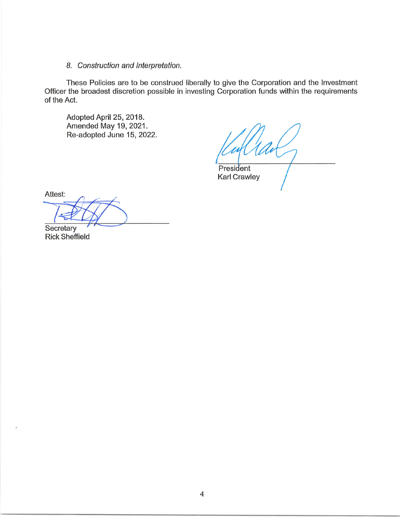# B, Construction and lnterpretation.

These Policies are to be construed liberally to give the Corporation and the lnvestment Officer the broadest discretion possible in investing Corporation funds within the requirements of the Act.

Adopted April 25, 2018. Amended May 19,2021. Re-adopted June 15, 2022.

President Karl Crawley

Attest:

Secretary<br>Rick Sheffield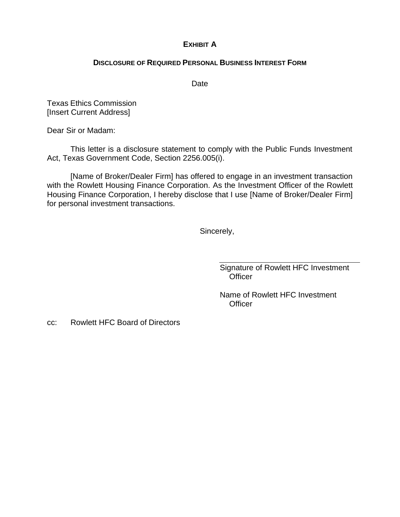# **EXHIBIT A**

#### **DISCLOSURE OF REQUIRED PERSONAL BUSINESS INTEREST FORM**

Date

Texas Ethics Commission [Insert Current Address]

Dear Sir or Madam:

This letter is a disclosure statement to comply with the Public Funds Investment Act, Texas Government Code, Section 2256.005(i).

[Name of Broker/Dealer Firm] has offered to engage in an investment transaction with the Rowlett Housing Finance Corporation. As the Investment Officer of the Rowlett Housing Finance Corporation, I hereby disclose that I use [Name of Broker/Dealer Firm] for personal investment transactions.

Sincerely,

Signature of Rowlett HFC Investment **Officer** 

Name of Rowlett HFC Investment **Officer** 

cc: Rowlett HFC Board of Directors